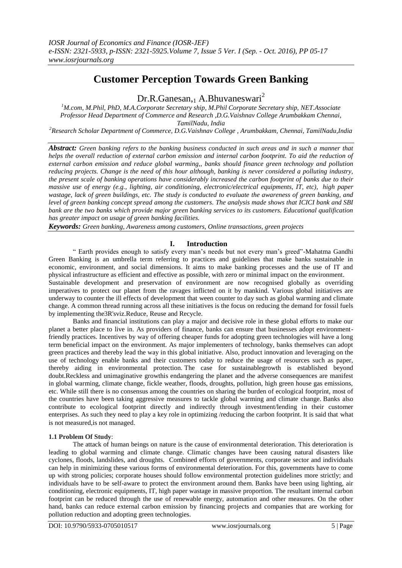# **Customer Perception Towards Green Banking**

 $Dr.R.Ganesan<sub>1</sub>$  A.Bhuvaneswari<sup>2</sup>

*<sup>1</sup>M.com, M.Phil, PhD, M.A.Corporate Secretary ship, M.Phil Corporate Secretary ship, NET.Associate Professor Head Department of Commerce and Research ,D.G.Vaishnav College Arumbakkam Chennai, TamilNadu, India*

*<sup>2</sup>Research Scholar Department of Commerce, D.G.Vaishnav College , Arumbakkam, Chennai, TamilNadu,India*

*Abstract: Green banking refers to the banking business conducted in such areas and in such a manner that helps the overall reduction of external carbon emission and internal carbon footprint. To aid the reduction of external carbon emission and reduce global warming,, banks should finance green technology and pollution reducing projects. Change is the need of this hour although, banking is never considered a polluting industry, the present scale of banking operations have considerably increased the carbon footprint of banks due to their massive use of energy (e.g., lighting, air conditioning, electronic/electrical equipments, IT, etc), high paper wastage, lack of green buildings, etc. The study is conducted to evaluate the awareness of green banking, and level of green banking concept spread among the customers. The analysis made shows that ICICI bank and SBI bank are the two banks which provide major green banking services to its customers. Educational qualification has greater impact on usage of green banking facilities.* 

*Keywords: Green banking, Awareness among customers, Online transactions, green projects*

# **I. Introduction**

" Earth provides enough to satisfy every man"s needs but not every man"s greed"-Mahatma Gandhi Green Banking is an umbrella term referring to practices and guidelines that make banks sustainable in economic, environment, and social dimensions. It aims to make banking processes and the use of IT and physical infrastructure as efficient and effective as possible, with zero or minimal impact on the environment. Sustainable development and preservation of environment are now recognised globally as overriding

imperatives to protect our planet from the ravages inflicted on it by mankind. Various global initiatives are underway to counter the ill effects of development that ween counter to day such as global warming and climate change. A common thread running across all these initiatives is the focus on reducing the demand for fossil fuels by implementing the3R'sviz.Reduce, Reuse and Recycle.

Banks and financial institutions can play a major and decisive role in these global efforts to make our planet a better place to live in. As providers of finance, banks can ensure that businesses adopt environmentfriendly practices. Incentives by way of offering cheaper funds for adopting green technologies will have a long term beneficial impact on the environment. As major implementers of technology, banks themselves can adopt green practices and thereby lead the way in this global initiative. Also, product innovation and leveraging on the use of technology enable banks and their customers today to reduce the usage of resources such as paper, thereby aiding in environmental protection. The case for sustainablegrowth is established beyond doubt.Reckless and unimaginative growthis endangering the planet and the adverse consequences are manifest in global warming, climate change, fickle weather, floods, droughts, pollution, high green house gas emissions, etc. While still there is no consensus among the countries on sharing the burden of ecological footprint, most of the countries have been taking aggressive measures to tackle global warming and climate change. Banks also contribute to ecological footprint directly and indirectly through investment/lending in their customer enterprises. As such they need to play a key role in optimizing /reducing the carbon footprint. It is said that what is not measured,is not managed.

#### **1.1 Problem Of Study**:

The attack of human beings on nature is the cause of environmental deterioration. This deterioration is leading to global warming and climate change. Climatic changes have been causing natural disasters like cyclones, floods, landslides, and droughts. Combined efforts of governments, corporate sector and individuals can help in minimizing these various forms of environmental deterioration. For this, governments have to come up with strong policies; corporate houses should follow environmental protection guidelines more strictly; and individuals have to be self-aware to protect the environment around them. Banks have been using lighting, air conditioning, electronic equipments, IT, high paper wastage in massive proportion. The resultant internal carbon footprint can be reduced through the use of renewable energy, automation and other measures. On the other hand, banks can reduce external carbon emission by financing projects and companies that are working for pollution reduction and adopting green technologies.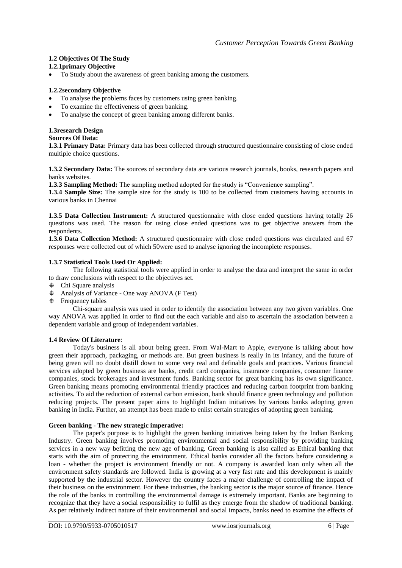# **1.2 Objectives Of The Study**

# **1.2.1primary Objective**

To Study about the awareness of green banking among the customers.

## **1.2.2secondary Objective**

- To analyse the problems faces by customers using green banking.
- To examine the effectiveness of green banking.
- To analyse the concept of green banking among different banks.

#### **1.3research Design Sources Of Data:**

**1.3.1 Primary Data:** Primary data has been collected through structured questionnaire consisting of close ended multiple choice questions.

**1.3.2 Secondary Data:** The sources of secondary data are various research journals, books, research papers and banks websites.

1.3.3 Sampling Method: The sampling method adopted for the study is "Convenience sampling".

**1.3.4 Sample Size:** The sample size for the study is 100 to be collected from customers having accounts in various banks in Chennai

**1.3.5 Data Collection Instrument:** A structured questionnaire with close ended questions having totally 26 questions was used. The reason for using close ended questions was to get objective answers from the respondents.

**1.3.6 Data Collection Method:** A structured questionnaire with close ended questions was circulated and 67 responses were collected out of which 50were used to analyse ignoring the incomplete responses.

# **1.3.7 Statistical Tools Used Or Applied:**

The following statistical tools were applied in order to analyse the data and interpret the same in order to draw conclusions with respect to the objectives set.

- Chi Square analysis
- Analysis of Variance One way ANOVA (F Test)
- $\oplus$  Frequency tables

Chi-square analysis was used in order to identify the association between any two given variables. One way ANOVA was applied in order to find out the each variable and also to ascertain the association between a dependent variable and group of independent variables.

# **1.4 Review Of Literature**:

Today's business is all about being green. From Wal-Mart to Apple, everyone is talking about how green their approach, packaging, or methods are. But green business is really in its infancy, and the future of being green will no doubt distill down to some very real and definable goals and practices. Various financial services adopted by green business are banks, credit card companies, insurance companies, consumer finance companies, stock brokerages and investment funds. Banking sector for great banking has its own significance. Green banking means promoting environmental friendly practices and reducing carbon footprint from banking activities. To aid the reduction of external carbon emission, bank should finance green technology and pollution reducing projects. The present paper aims to highlight Indian initiatives by various banks adopting green banking in India. Further, an attempt has been made to enlist certain strategies of adopting green banking.

#### **Green banking - The new strategic imperative:**

The paper's purpose is to highlight the green banking initiatives being taken by the Indian Banking Industry. Green banking involves promoting environmental and social responsibility by providing banking services in a new way befitting the new age of banking. Green banking is also called as Ethical banking that starts with the aim of protecting the environment. Ethical banks consider all the factors before considering a loan - whether the project is environment friendly or not. A company is awarded loan only when all the environment safety standards are followed. India is growing at a very fast rate and this development is mainly supported by the industrial sector. However the country faces a major challenge of controlling the impact of their business on the environment. For these industries, the banking sector is the major source of finance. Hence the role of the banks in controlling the environmental damage is extremely important. Banks are beginning to recognize that they have a social responsibility to fulfil as they emerge from the shadow of traditional banking. As per relatively indirect nature of their environmental and social impacts, banks need to examine the effects of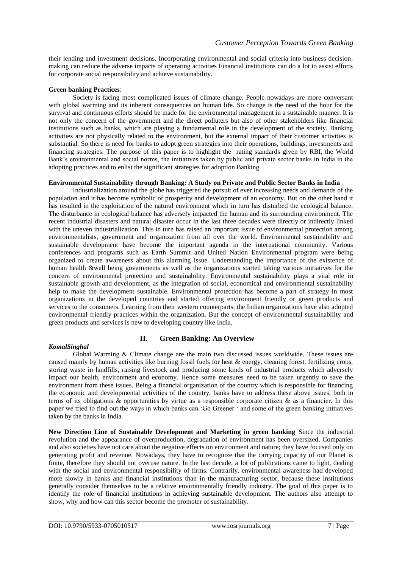their lending and investment decisions. Incorporating environmental and social criteria into business decisionmaking can reduce the adverse impacts of operating activities Financial institutions can do a lot to assist efforts for corporate social responsibility and achieve sustainability.

## **Green banking Practices**:

Society is facing most complicated issues of climate change. People nowadays are more conversant with global warming and its inherent consequences on human life. So change is the need of the hour for the survival and continuous efforts should be made for the environmental management in a sustainable manner. It is not only the concern of the government and the direct polluters but also of other stakeholders like financial institutions such as banks, which are playing a fundamental role in the development of the society. Banking activities are not physically related to the environment, but the external impact of their customer activities is substantial. So there is need for banks to adopt green strategies into their operations, buildings, investments and financing strategies. The purpose of this paper is to highlight the rating standards given by RBI, the World Bank's environmental and social norms, the initiatives taken by public and private sector banks in India in the adopting practices and to enlist the significant strategies for adoption Banking.

## **Environmental Sustainability through Banking: A Study on Private and Public Sector Banks in India**

Industrialization around the globe has triggered the pursuit of ever increasing needs and demands of the population and it has become symbolic of prosperity and development of an economy. But on the other hand it has resulted in the exploitation of the natural environment which in turn has disturbed the ecological balance. The disturbance in ecological balance has adversely impacted the human and its surrounding environment. The recent industrial disasters and natural disaster occur in the last three decades were directly or indirectly linked with the uneven industrialization. This in turn has raised an important issue of environmental protection among environmentalists, government and organization from all over the world. Environmental sustainability and sustainable development have become the important agenda in the international community. Various conferences and programs such as Earth Summit and United Nation Environmental program were being organized to create awareness about this alarming issue. Understanding the importance of the existence of human health &well being governments as well as the organizations started taking various initiatives for the concern of environmental protection and sustainability. Environmental sustainability plays a vital role in sustainable growth and development, as the integration of social, economical and environmental sustainability help to make the development sustainable. Environmental protection has become a part of strategy in most organizations in the developed countries and started offering environment friendly or green products and services to the consumers. Learning from their western counterparts, the Indian organizations have also adopted environmental friendly practices within the organization. But the concept of environmental sustainability and green products and services is new to developing country like India.

#### *KomalSinghal*

# **II. Green Banking: An Overview**

Global Warming & Climate change are the main two discussed issues worldwide. These issues are caused mainly by human activities like burning fossil fuels for heat & energy, cleaning forest, fertilizing crops, storing waste in landfills, raising livestock and producing some kinds of industrial products which adversely impact our health, environment and economy. Hence some measures need to be taken urgently to save the environment from these issues. Being a financial organization of the country which is responsible for financing the economic and developmental activities of the country, banks have to address these above issues, both in terms of its obligations  $\&$  opportunities by virtue as a responsible corporate citizen  $\&$  as a financier. In this paper we tried to find out the ways in which banks can "Go Greener " and some of the green banking initiatives taken by the banks in India.

**New Direction Line of Sustainable Development and Marketing in green banking** Since the industrial revolution and the appearance of overproduction, degradation of environment has been oversized. Companies and also societies have not care about the negative effects on environment and nature; they have focused only on generating profit and revenue. Nowadays, they have to recognize that the carrying capacity of our Planet is finite, therefore they should not overuse nature. In the last decade, a lot of publications came to light, dealing with the social and environmental responsibility of firms. Contrarily, environmental awareness had developed more slowly in banks and financial institutions than in the manufacturing sector, because these institutions generally consider themselves to be a relative environmentally friendly industry. The goal of this paper is to identify the role of financial institutions in achieving sustainable development. The authors also attempt to show, why and how can this sector become the promoter of sustainability.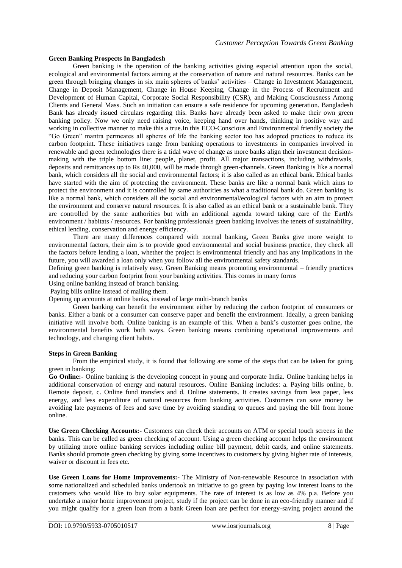## **Green Banking Prospects In Bangladesh**

Green banking is the operation of the banking activities giving especial attention upon the social, ecological and environmental factors aiming at the conservation of nature and natural resources. Banks can be green through bringing changes in six main spheres of banks" activities – Change in Investment Management, Change in Deposit Management, Change in House Keeping, Change in the Process of Recruitment and Development of Human Capital, Corporate Social Responsibility (CSR), and Making Consciousness Among Clients and General Mass. Such an initiation can ensure a safe residence for upcoming generation. Bangladesh Bank has already issued circulars regarding this. Banks have already been asked to make their own green banking policy. Now we only need raising voice, keeping hand over hands, thinking in positive way and working in collective manner to make this a true.In this ECO-Conscious and Environmental friendly society the "Go Green" mantra permeates all spheres of life the banking sector too has adopted practices to reduce its carbon footprint. These initiatives range from banking operations to investments in companies involved in renewable and green technologies there is a tidal wave of change as more banks align their investment decisionmaking with the triple bottom line: people, planet, profit. All major transactions, including withdrawals, deposits and remittances up to Rs 40,000, will be made through green-channels. Green Banking is like a normal bank, which considers all the social and environmental factors; it is also called as an ethical bank. Ethical banks have started with the aim of protecting the environment. These banks are like a normal bank which aims to protect the environment and it is controlled by same authorities as what a traditional bank do. Green banking is like a normal bank, which considers all the social and environmental/ecological factors with an aim to protect the environment and conserve natural resources. It is also called as an ethical bank or a sustainable bank. They are controlled by the same authorities but with an additional agenda toward taking care of the Earth's environment / habitats / resources. For banking professionals green banking involves the tenets of sustainability, ethical lending, conservation and energy efficiency.

There are many differences compared with normal banking, Green Banks give more weight to environmental factors, their aim is to provide good environmental and social business practice, they check all the factors before lending a loan, whether the project is environmental friendly and has any implications in the future, you will awarded a loan only when you follow all the environmental safety standards.

Defining green banking is relatively easy. Green Banking means promoting environmental – friendly practices and reducing your carbon footprint from your banking activities. This comes in many forms

Using online banking instead of branch banking.

Paying bills online instead of mailing them.

Opening up accounts at online banks, instead of large multi-branch banks

Green banking can benefit the environment either by reducing the carbon footprint of consumers or banks. Either a bank or a consumer can conserve paper and benefit the environment. Ideally, a green banking initiative will involve both. Online banking is an example of this. When a bank"s customer goes online, the environmental benefits work both ways. Green banking means combining operational improvements and technology, and changing client habits.

#### **Steps in Green Banking**

From the empirical study, it is found that following are some of the steps that can be taken for going green in banking:

**Go Online:-** Online banking is the developing concept in young and corporate India. Online banking helps in additional conservation of energy and natural resources. Online Banking includes: a. Paying bills online, b. Remote deposit, c. Online fund transfers and d. Online statements. It creates savings from less paper, less energy, and less expenditure of natural resources from banking activities. Customers can save money be avoiding late payments of fees and save time by avoiding standing to queues and paying the bill from home online.

**Use Green Checking Accounts:-** Customers can check their accounts on ATM or special touch screens in the banks. This can be called as green checking of account. Using a green checking account helps the environment by utilizing more online banking services including online bill payment, debit cards, and online statements. Banks should promote green checking by giving some incentives to customers by giving higher rate of interests, waiver or discount in fees etc.

**Use Green Loans for Home Improvements:-** The Ministry of Non-renewable Resource in association with some nationalized and scheduled banks undertook an initiative to go green by paying low interest loans to the customers who would like to buy solar equipments. The rate of interest is as low as 4% p.a. Before you undertake a major home improvement project, study if the project can be done in an eco-friendly manner and if you might qualify for a green loan from a bank Green loan are perfect for energy-saving project around the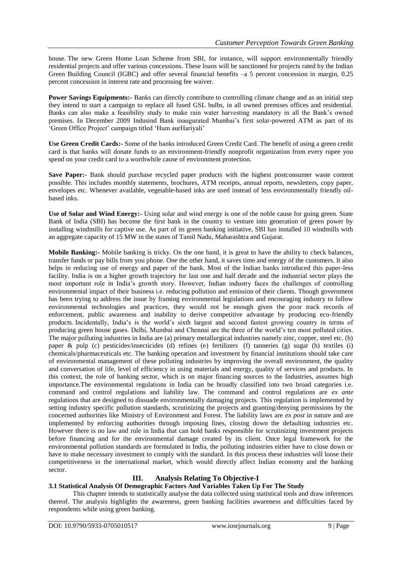house. The new Green Home Loan Scheme from SBI, for instance, will support environmentally friendly residential projects and offer various concessions. These loans will be sanctioned for projects rated by the Indian Green Building Council (IGBC) and offer several financial benefits –a 5 percent concession in margin, 0.25 percent concession in interest rate and processing fee waiver.

**Power Savings Equipments:**- Banks can directly contribute to controlling climate change and as an initial step they intend to start a campaign to replace all fused GSL bulbs, in all owned premises offices and residential. Banks can also make a feasibility study to make rain water harvesting mandatory in all the Bank"s owned premises. In December 2009 Indusind Bank inaugurated Mumbai"s first solar-powered ATM as part of its "Green Office Project" campaign titled "Hum aurHariyali"

**Use Green Credit Cards:-** Some of the banks introduced Green Credit Card. The benefit of using a green credit card is that banks will donate funds to an environment-friendly nonprofit organization from every rupee you spend on your credit card to a worthwhile cause of environment protection.

**Save Paper:-** Bank should purchase recycled paper products with the highest postconsumer waste content possible. This includes monthly statements, brochures, ATM receipts, annual reports, newsletters, copy paper, envelopes etc. Whenever available, vegetable-based inks are used instead of less environmentally friendly oilbased inks.

**Use of Solar and Wind Energy:-** Using solar and wind energy is one of the noble cause for going green. State Bank of India (SBI) has become the first bank in the country to venture into generation of green power by installing windmills for captive use. As part of its green banking initiative, SBI has installed 10 windmills with an aggregate capacity of 15 MW in the states of Tamil Nadu, Maharashtra and Gujarat.

**Mobile Banking:-** Mobile banking is tricky. On the one hand, it is great to have the ability to check balances, transfer funds or pay bills from you phone. One the other hand, it saves time and energy of the customers. It also helps in reducing use of energy and paper of the bank. Most of the Indian banks introduced this paper-less facility. India is on a higher growth trajectory for last one and half decade and the industrial sector plays the most important role in India"s growth story. However, Indian industry faces the challenges of controlling environmental impact of their business i.e. reducing pollution and emission of their clients. Though government has been trying to address the issue by framing environmental legislations and encouraging industry to follow environmental technologies and practices, they would not be enough given the poor track records of enforcement, public awareness and inability to derive competitive advantage by producing eco-friendly products. Incidentally, India's is the world's sixth largest and second fastest growing country in terms of producing green house gases. Delhi, Mumbai and Chennai are the three of the world"s ten most polluted cities. The major polluting industries in India are (a) primary metallurgical industries namely zinc, copper, steel etc. (b) paper & pulp (c) pesticides/insecticides (d) refines (e) fertilizers (f) tanneries (g) sugar (h) textiles (i) chemicals/pharmaceuticals etc. The banking operation and investment by financial institutions should take care of environmental management of these polluting industries by improving the overall environment, the quality and conversation of life, level of efficiency in using materials and energy, quality of services and products. In this context, the role of banking sector, which is on major financing sources to the Industries, assumes high importance.The environmental regulations in India can be broadly classified into two broad categories i.e. command and control regulations and liability law. The command and control regulations are *ex ante* regulations that are designed to dissuade environmentally damaging projects. This regulation is implemented by setting industry specific pollution standards, scrutinizing the projects and granting/denying permissions by the concerned authorities like Ministry of Environment and Forest. The liability laws are *ex post* in nature and are implemented by enforcing authorities through imposing fines, closing down the defaulting industries etc. However there is no law and rule in India that can hold banks responsible for scrutinizing investment projects before financing and for the environmental damage created by its client. Once legal framework for the environmental pollution standards are formulated in India, the polluting industries either have to close down or have to make necessary investment to comply with the standard. In this process these industries will loose their competitiveness in the international market, which would directly affect Indian economy and the banking sector.

# **III. Analysis Relating To Objective-I**

# **3.1 Statistical Analysis Of Demographic Factors And Variables Taken Up For The Study**

This chapter intends to statistically analyse the data collected using statistical tools and draw inferences thereof. The analysis highlights the awareness, green banking facilities awareness and difficulties faced by respondents while using green banking.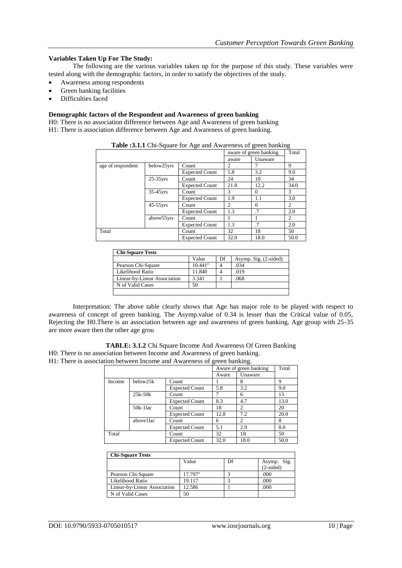## **Variables Taken Up For The Study:**

The following are the various variables taken up for the purpose of this study. These variables were tested along with the demographic factors, in order to satisfy the objectives of the study.

- Awareness among respondents
- Green banking facilities
- Difficulties faced

## **Demographic factors of the Respondent and Awareness of green banking**

H0: There is no association difference between Age and Awareness of green banking H1: There is association difference between Age and Awareness of green banking.

|                   |             |                       |       | aware of green banking | Total |
|-------------------|-------------|-----------------------|-------|------------------------|-------|
|                   |             |                       | aware | Unaware                |       |
| age of respondent | below25yrs  | Count                 | 2     |                        | 9     |
|                   |             | <b>Expected Count</b> | 5.8   | 3.2                    | 9.0   |
|                   | $25-35$ yrs | Count                 | 24    | 10                     | 34    |
|                   |             | <b>Expected Count</b> | 21.8  | 12.2                   | 34.0  |
|                   | $35-45$ yrs | Count                 | 3     | $\Omega$               | 3     |
|                   |             | <b>Expected Count</b> | 1.9   | 1.1                    | 3.0   |
|                   | $45-55$ yrs | Count                 | 2     | $\Omega$               | 2     |
|                   |             | <b>Expected Count</b> | 1.3   | .7                     | 2.0   |
|                   | above55yrs  | Count                 |       |                        | 2     |
|                   |             | <b>Expected Count</b> | 1.3   | .7                     | 2.0   |
| Total             |             | Count                 | 32    | 18                     | 50    |
|                   |             | <b>Expected Count</b> | 32.0  | 18.0                   | 50.0  |

|  |  | Table :3.1.1 Chi-Square for Age and Awareness of green banking |  |
|--|--|----------------------------------------------------------------|--|
|--|--|----------------------------------------------------------------|--|

| <b>Chi-Square Tests</b>      |                  |    |                       |
|------------------------------|------------------|----|-----------------------|
|                              | Value            | Df | Asymp. Sig. (2-sided) |
| Pearson Chi-Square           | $10.441^{\rm a}$ |    | .034                  |
| Likelihood Ratio             | 11.840           |    | .019                  |
| Linear-by-Linear Association | 3.341            |    | .068                  |
| N of Valid Cases             | 50               |    |                       |
|                              |                  |    |                       |

Interpretation: The above table clearly shows that Age has major role to be played with respect to awareness of concept of green banking. The Asymp.value of 0.34 is lesser than the Critical value of 0.05, Rejecting the H0.There is an association between age and awareness of green banking. Age group with 25-35 are more aware then the other age grou

**TABLE: 3.1.2** Chi Square Income And Awareness Of Green Banking H0: There is no association between Income and Awareness of green banking.

H1: There is association between Income and Awareness of green banking.

|        |            |                       | Aware of green banking | Total         |      |
|--------|------------|-----------------------|------------------------|---------------|------|
|        |            |                       | Aware                  | Unaware       |      |
| Income | below25k   | Count                 |                        | 8             | 9    |
|        |            | <b>Expected Count</b> | 5.8                    | 3.2           | 9.0  |
|        | $25k-50k$  | Count                 |                        | 6             | 13   |
|        |            | <b>Expected Count</b> | 8.3                    | 4.7           | 13.0 |
|        | $50k-11ac$ | Count                 | 18                     | $\mathcal{D}$ | 20   |
|        |            | <b>Expected Count</b> | 12.8                   | 7.2           | 20.0 |
|        | above1lac  | Count                 | 6                      | 2             | 8    |
|        |            | <b>Expected Count</b> | 5.1                    | 2.9           | 8.0  |
| Total  |            | Count                 | 32                     | 18            | 50   |
|        |            | <b>Expected Count</b> | 32.0                   | 18.0          | 50.0 |

| <b>Chi-Square Tests</b> |  |
|-------------------------|--|

|                              | Value            | Df | Asymp. Sig. |
|------------------------------|------------------|----|-------------|
|                              |                  |    | $(2-sided)$ |
| Pearson Chi-Square           | $17.797^{\rm a}$ |    | .000        |
| Likelihood Ratio             | 19.117           |    | .000        |
| Linear-by-Linear Association | 12.586           |    | .000        |
| N of Valid Cases             | 50               |    |             |
|                              |                  |    |             |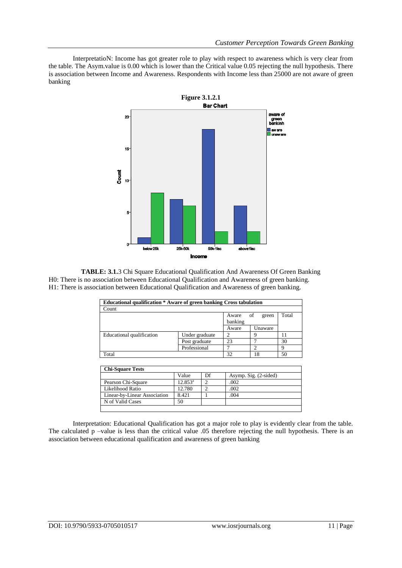InterpretatioN: Income has got greater role to play with respect to awareness which is very clear from the table. The Asym.value is 0.00 which is lower than the Critical value 0.05 rejecting the null hypothesis. There is association between Income and Awareness. Respondents with Income less than 25000 are not aware of green banking



**TABLE: 3.1.**3 Chi Square Educational Qualification And Awareness Of Green Banking H0: There is no association between Educational Qualification and Awareness of green banking. H1: There is association between Educational Qualification and Awareness of green banking.

| <b>Educational qualification * Aware of green banking Cross tabulation</b> |                |                  |             |       |  |  |
|----------------------------------------------------------------------------|----------------|------------------|-------------|-------|--|--|
| Count                                                                      |                |                  |             |       |  |  |
|                                                                            |                | Aware<br>banking | of<br>green | Total |  |  |
|                                                                            |                | Aware            | Unaware     |       |  |  |
| Educational qualification                                                  | Under graduate | ∍                |             |       |  |  |
|                                                                            | Post graduate  | 23               |             | 30    |  |  |
|                                                                            | Professional   |                  |             |       |  |  |
| Total                                                                      |                | 32               | 18          | 50    |  |  |

| <b>Chi-Square Tests</b>      |            |    |                       |  |  |
|------------------------------|------------|----|-----------------------|--|--|
|                              | Value      | Df | Asymp. Sig. (2-sided) |  |  |
| Pearson Chi-Square           | $12.853^a$ |    | .002                  |  |  |
| Likelihood Ratio             | 12.780     |    | .002                  |  |  |
| Linear-by-Linear Association | 8.421      |    | .004                  |  |  |
| N of Valid Cases             | 50         |    |                       |  |  |
|                              |            |    |                       |  |  |

Interpretation: Educational Qualification has got a major role to play is evidently clear from the table. The calculated p –value is less than the critical value .05 therefore rejecting the null hypothesis. There is an association between educational qualification and awareness of green banking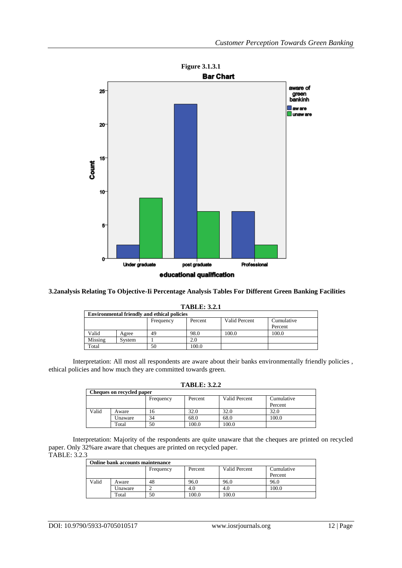

## **3.2analysis Relating To Objective-Ii Percentage Analysis Tables For Different Green Banking Facilities**

|         | 1 ADLE. 9.4.1 |                                                    |         |               |            |  |
|---------|---------------|----------------------------------------------------|---------|---------------|------------|--|
|         |               | <b>Environmental friendly and ethical policies</b> |         |               |            |  |
|         |               | Frequency                                          | Percent | Valid Percent | Cumulative |  |
|         |               |                                                    |         |               | Percent    |  |
| Valid   | Agree         | 49                                                 | 98.0    | 100.0         | 100.0      |  |
| Missing | System        |                                                    | 2.0     |               |            |  |
| Total   |               | 50                                                 | 100.0   |               |            |  |

**TABLE: 3.2.1**

Interpretation: All most all respondents are aware about their banks environmentally friendly policies , ethical policies and how much they are committed towards green.

| <b>TABLE: 3.2.2</b> |  |
|---------------------|--|
|---------------------|--|

| Cheques on recycled paper |         |           |         |               |            |  |  |
|---------------------------|---------|-----------|---------|---------------|------------|--|--|
|                           |         | Frequency | Percent | Valid Percent | Cumulative |  |  |
|                           |         |           |         |               | Percent    |  |  |
| Valid                     | Aware   | 16        | 32.0    | 32.0          | 32.0       |  |  |
|                           | Unaware | 34        | 68.0    | 68.0          | 100.0      |  |  |
|                           | Total   | 50        | 100.0   | 100.0         |            |  |  |

Interpretation: Majority of the respondents are quite unaware that the cheques are printed on recycled paper. Only 32%are aware that cheques are printed on recycled paper. TABLE: 3.2.3

| Online bank accounts maintenance |         |           |         |                      |            |  |
|----------------------------------|---------|-----------|---------|----------------------|------------|--|
|                                  |         | Frequency | Percent | <b>Valid Percent</b> | Cumulative |  |
|                                  |         |           |         |                      | Percent    |  |
| Valid                            | Aware   | 48        | 96.0    | 96.0                 | 96.0       |  |
|                                  | Unaware |           | 4.0     | 4.0                  | 100.0      |  |
|                                  | Total   | 50        | 100.0   | 100.0                |            |  |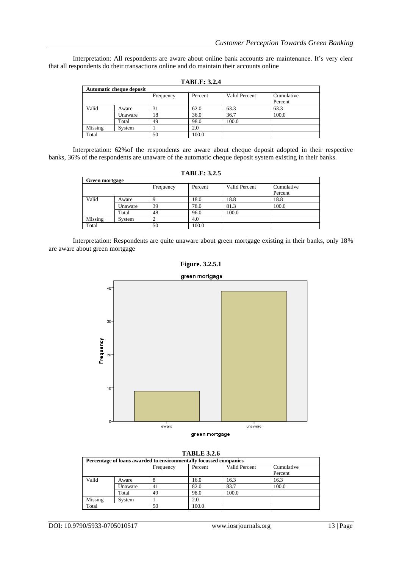Interpretation: All respondents are aware about online bank accounts are maintenance. It's very clear that all respondents do their transactions online and do maintain their accounts online

| <b>Automatic cheque deposit</b> |         |           |         |               |            |  |  |
|---------------------------------|---------|-----------|---------|---------------|------------|--|--|
|                                 |         | Frequency | Percent | Valid Percent | Cumulative |  |  |
|                                 |         |           |         |               | Percent    |  |  |
| Valid                           | Aware   | 31        | 62.0    | 63.3          | 63.3       |  |  |
|                                 | Unaware | 18        | 36.0    | 36.7          | 100.0      |  |  |
|                                 | Total   | 49        | 98.0    | 100.0         |            |  |  |
| Missing                         | System  |           | 2.0     |               |            |  |  |
| Total                           |         | 50        | 100.0   |               |            |  |  |

**TABLE: 3.2.4**

Interpretation: 62%of the respondents are aware about cheque deposit adopted in their respective banks, 36% of the respondents are unaware of the automatic cheque deposit system existing in their banks.

| <b>TABLE: 3.2.5</b> |                |           |         |               |                       |  |  |  |  |
|---------------------|----------------|-----------|---------|---------------|-----------------------|--|--|--|--|
|                     | Green mortgage |           |         |               |                       |  |  |  |  |
|                     |                | Frequency | Percent | Valid Percent | Cumulative<br>Percent |  |  |  |  |
| Valid               | Aware          |           | 18.0    | 18.8          | 18.8                  |  |  |  |  |
|                     | Unaware        | 39        | 78.0    | 81.3          | 100.0                 |  |  |  |  |
|                     | Total          | 48        | 96.0    | 100.0         |                       |  |  |  |  |
| Missing             | System         |           | 4.0     |               |                       |  |  |  |  |
| Total               |                | 50        | 100.0   |               |                       |  |  |  |  |

Interpretation: Respondents are quite unaware about green mortgage existing in their banks, only 18% are aware about green mortgage





| RT.<br>H. .*<br>V. | n |
|--------------------|---|
|                    |   |

| Percentage of loans awarded to environmentally focussed companies |         |           |         |               |            |  |  |
|-------------------------------------------------------------------|---------|-----------|---------|---------------|------------|--|--|
|                                                                   |         | Frequency | Percent | Valid Percent | Cumulative |  |  |
|                                                                   |         |           |         |               | Percent    |  |  |
| Valid                                                             | Aware   |           | 16.0    | 16.3          | 16.3       |  |  |
|                                                                   | Unaware | 41        | 82.0    | 83.7          | 100.0      |  |  |
|                                                                   | Total   | 49        | 98.0    | 100.0         |            |  |  |
| Missing                                                           | System  |           | 2.0     |               |            |  |  |
| Total                                                             |         | 50        | 100.0   |               |            |  |  |

DOI: 10.9790/5933-0705010517 www.iosrjournals.org 13 | Page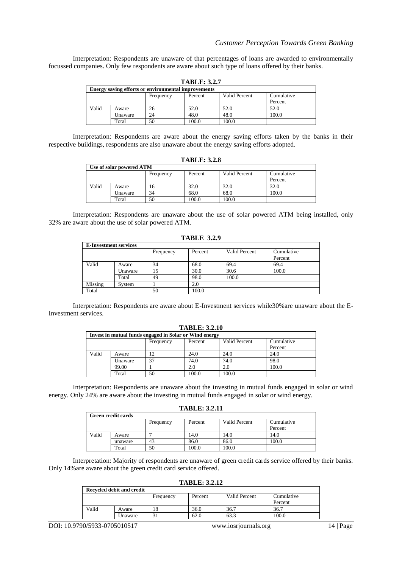Interpretation: Respondents are unaware of that percentages of loans are awarded to environmentally focussed companies. Only few respondents are aware about such type of loans offered by their banks.

| <b>TABLE: 3.2.7</b> |                                                     |           |         |               |            |  |  |
|---------------------|-----------------------------------------------------|-----------|---------|---------------|------------|--|--|
|                     | Energy saving efforts or environmental improvements |           |         |               |            |  |  |
|                     |                                                     | Frequency | Percent | Valid Percent | Cumulative |  |  |
|                     |                                                     |           |         |               | Percent    |  |  |
| Valid               | Aware                                               | 26        | 52.0    | 52.0          | 52.0       |  |  |
|                     | Unaware                                             | 24        | 48.0    | 48.0          | 100.0      |  |  |
|                     | Total                                               | 50        | 100.0   | 100.0         |            |  |  |

Interpretation: Respondents are aware about the energy saving efforts taken by the banks in their respective buildings, respondents are also unaware about the energy saving efforts adopted.

| <b>TABLE: 3.2.8</b> |                          |           |         |               |                       |  |  |
|---------------------|--------------------------|-----------|---------|---------------|-----------------------|--|--|
|                     | Use of solar powered ATM |           |         |               |                       |  |  |
|                     |                          | Frequency | Percent | Valid Percent | Cumulative<br>Percent |  |  |
| Valid               | Aware                    | 16        | 32.0    | 32.0          | 32.0                  |  |  |
|                     | Unaware                  | 34        | 68.0    | 68.0          | 100.0                 |  |  |
|                     | Total                    | 50        | 100.0   | 100.0         |                       |  |  |

Interpretation: Respondents are unaware about the use of solar powered ATM being installed, only 32% are aware about the use of solar powered ATM.

| <b>TABLE 3.2.9</b>           |         |           |         |               |            |  |  |
|------------------------------|---------|-----------|---------|---------------|------------|--|--|
| <b>E-Investment services</b> |         |           |         |               |            |  |  |
|                              |         | Frequency | Percent | Valid Percent | Cumulative |  |  |
|                              |         |           |         |               | Percent    |  |  |
| Valid                        | Aware   | 34        | 68.0    | 69.4          | 69.4       |  |  |
|                              | Unaware | 15        | 30.0    | 30.6          | 100.0      |  |  |
|                              | Total   | 49        | 98.0    | 100.0         |            |  |  |
| Missing                      | System  |           | 2.0     |               |            |  |  |
| Total                        |         | 50        | 100.0   |               |            |  |  |

Interpretation: Respondents are aware about E-Investment services while30%are unaware about the E-

Investment services.

| <b>TABLE: 3.2.10</b> |         |                                                        |         |               |            |  |  |
|----------------------|---------|--------------------------------------------------------|---------|---------------|------------|--|--|
|                      |         | Invest in mutual funds engaged in Solar or Wind energy |         |               |            |  |  |
|                      |         | Frequency                                              | Percent | Valid Percent | Cumulative |  |  |
|                      |         |                                                        |         |               | Percent    |  |  |
| Valid                | Aware   | 12                                                     | 24.0    | 24.0          | 24.0       |  |  |
|                      | Unaware | 37                                                     | 74.0    | 74.0          | 98.0       |  |  |
|                      | 99.00   |                                                        | 2.0     | 2.0           | 100.0      |  |  |
|                      | Total   | 50                                                     | 100.0   | 100.0         |            |  |  |

Interpretation: Respondents are unaware about the investing in mutual funds engaged in solar or wind energy. Only 24% are aware about the investing in mutual funds engaged in solar or wind energy.

#### **TABLE: 3.2.11**

| <b>Green credit cards</b> |         |           |         |               |            |  |  |
|---------------------------|---------|-----------|---------|---------------|------------|--|--|
|                           |         | Frequency | Percent | Valid Percent | Cumulative |  |  |
|                           |         |           |         |               | Percent    |  |  |
| Valid                     | Aware   |           | 14.0    | 14.0          | 14.0       |  |  |
|                           | unaware | 43        | 86.0    | 86.0          | 100.0      |  |  |
|                           | Total   | 50        | 100.0   | 100.0         |            |  |  |

Interpretation: Majority of respondents are unaware of green credit cards service offered by their banks. Only 14%are aware about the green credit card service offered.

#### **TABLE: 3.2.12**

| <b>Recycled debit and credit</b> |         |           |         |               |            |  |  |
|----------------------------------|---------|-----------|---------|---------------|------------|--|--|
|                                  |         | Frequency | Percent | Valid Percent | Cumulative |  |  |
|                                  |         |           |         |               | Percent    |  |  |
| Valid                            | Aware   | 18        | 36.0    | 36.7          | 36.7       |  |  |
|                                  | Unaware |           | 62.0    | 63.3          | 100.0      |  |  |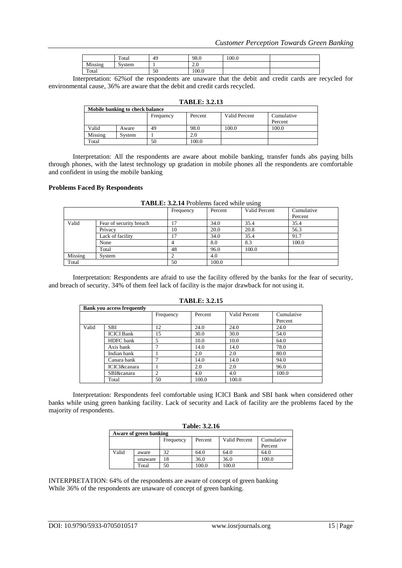|         | Total  | 49 | 98.0   | 100.0 |  |
|---------|--------|----|--------|-------|--|
| Missing | System |    | $\sim$ |       |  |
| Total   |        | 50 | 100.0  |       |  |

Interpretation: 62%of the respondents are unaware that the debit and credit cards are recycled for environmental cause, 36% are aware that the debit and credit cards recycled.

| <b>TABLE: 3.2.13</b>            |        |           |         |               |            |  |  |
|---------------------------------|--------|-----------|---------|---------------|------------|--|--|
| Mobile banking to check balance |        |           |         |               |            |  |  |
|                                 |        | Frequency | Percent | Valid Percent | Cumulative |  |  |
|                                 |        |           |         |               | Percent    |  |  |
| Valid                           | Aware  | 49        | 98.0    | 100.0         | 100.0      |  |  |
| Missing                         | System |           | 2.0     |               |            |  |  |
| Total                           |        | 50        | 100.0   |               |            |  |  |

Interpretation: All the respondents are aware about mobile banking, transfer funds abs paying bills through phones, with the latest technology up gradation in mobile phones all the respondents are comfortable and confident in using the mobile banking

#### **Problems Faced By Respondents**

|         |                         | Frequency | Percent | ັ<br>Valid Percent | Cumulative |
|---------|-------------------------|-----------|---------|--------------------|------------|
|         |                         |           |         |                    | Percent    |
| Valid   | Fear of security breach |           | 34.0    | 35.4               | 35.4       |
|         | Privacy                 | 10        | 20.0    | 20.8               | 56.3       |
|         | Lack of facility        | 17        | 34.0    | 35.4               | 91.7       |
|         | None                    |           | 8.0     | 8.3                | 100.0      |
|         | Total                   | 48        | 96.0    | 100.0              |            |
| Missing | System                  |           | 4.0     |                    |            |
| Total   |                         | 50        | 100.0   |                    |            |

**TABLE: 3.2.14** Problems faced while using

Interpretation: Respondents are afraid to use the facility offered by the banks for the fear of security, and breach of security. 34% of them feel lack of facility is the major drawback for not using it.

| 1710LC. J.Z.IV |                                   |           |         |               |            |  |
|----------------|-----------------------------------|-----------|---------|---------------|------------|--|
|                | <b>Bank you access frequently</b> |           |         |               |            |  |
|                |                                   | Frequency | Percent | Valid Percent | Cumulative |  |
|                |                                   |           |         |               | Percent    |  |
| Valid          | <b>SBI</b>                        | 12        | 24.0    | 24.0          | 24.0       |  |
|                | <b>ICICI</b> Bank                 | 15        | 30.0    | 30.0          | 54.0       |  |
|                | HDFC bank                         |           | 10.0    | 10.0          | 64.0       |  |
|                | Axis bank                         |           | 14.0    | 14.0          | 78.0       |  |
|                | Indian bank                       |           | 2.0     | 2.0           | 80.0       |  |
|                | Canara bank                       |           | 14.0    | 14.0          | 94.0       |  |
|                | ICICI&canara                      |           | 2.0     | 2.0           | 96.0       |  |
|                | SBI&canara                        |           | 4.0     | 4.0           | 100.0      |  |
|                | Total                             | 50        | 100.0   | 100.0         |            |  |

**TABLE: 3.2.15**

Interpretation: Respondents feel comfortable using ICICI Bank and SBI bank when considered other banks while using green banking facility. Lack of security and Lack of facility are the problems faced by the majority of respondents.

| <b>Table: 3.2.16</b> |  |
|----------------------|--|
|----------------------|--|

| Aware of green banking |         |           |         |               |            |  |
|------------------------|---------|-----------|---------|---------------|------------|--|
|                        |         | Frequency | Percent | Valid Percent | Cumulative |  |
|                        |         |           |         |               | Percent    |  |
| Valid                  | aware   | 32        | 64.0    | 64.0          | 64.0       |  |
|                        | unaware | 18        | 36.0    | 36.0          | 100.0      |  |
|                        | Total   | 50        | 100.0   | 100.0         |            |  |

INTERPRETATION: 64% of the respondents are aware of concept of green banking While 36% of the respondents are unaware of concept of green banking.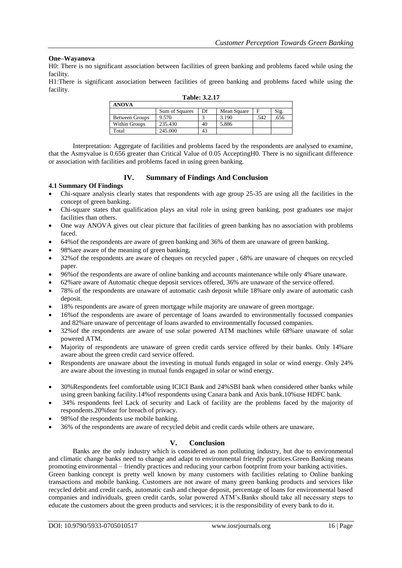## **One–Wayanova**

H0: There is no significant association between facilities of green banking and problems faced while using the facility.

H1:There is significant association between facilities of green banking and problems faced while using the facility.

| <b>ANOVA</b>          |                |    |             |      |      |  |
|-----------------------|----------------|----|-------------|------|------|--|
|                       | Sum of Squares | Df | Mean Square |      | Sig. |  |
| <b>Between Groups</b> | 9.570          |    | 3.190       | .542 | .656 |  |
| Within Groups         | 235.430        | 40 | 5.886       |      |      |  |
| Total                 | 245.000        | 43 |             |      |      |  |

#### **Table: 3.2.17**

Interpretation: Aggregate of facilities and problems faced by the respondents are analysed to examine, that the Asmyvalue is 0.656 greater than Critical Value of 0.05 AcceptingH0. There is no significant difference or association with facilities and problems faced in using green banking.

# **IV. Summary of Findings And Conclusion**

## **4.1 Summary Of Findings**

- Chi-square analysis clearly states that respondents with age group 25-35 are using all the facilities in the concept of green banking.
- Chi-square states that qualification plays an vital role in using green banking, post graduates use major facilities than others.
- One way ANOVA gives out clear picture that facilities of green banking has no association with problems faced.
- 64%of the respondents are aware of green banking and 36% of them are unaware of green banking.
- 98%are aware of the meaning of green banking,
- 32%of the respondents are aware of cheques on recycled paper , 68% are unaware of cheques on recycled paper.
- 96%of the respondents are aware of online banking and accounts maintenance while only 4%are unaware.
- 62%are aware of Automatic cheque deposit services offered, 36% are unaware of the service offered.
- 78% of the respondents are unaware of automatic cash deposit while 18%are only aware of automatic cash deposit.
- 18% respondents are aware of green mortgage while majority are unaware of green mortgage.
- 16%of the respondents are aware of percentage of loans awarded to environmentally focussed companies and 82%are unaware of percentage of loans awarded to environmentally focussed companies.
- 32%of the respondents are aware of use solar powered ATM machines while 68%are unaware of solar powered ATM.
- Majority of respondents are unaware of green credit cards service offered by their banks. Only 14%are aware about the green credit card service offered.
- Respondents are unaware about the investing in mutual funds engaged in solar or wind energy. Only 24% are aware about the investing in mutual funds engaged in solar or wind energy.
- 30%Respondents feel comfortable using ICICI Bank and 24%SBI bank when considered other banks while using green banking facility.14%of respondents using Canara bank and Axis bank.10%use HDFC bank.
- 34% respondents feel Lack of security and Lack of facility are the problems faced by the majority of respondents.20%fear for breach of privacy.
- 98%of the respondents use mobile banking.
- 36% of the respondents are aware of recycled debit and credit cards while others are unaware.

# **V. Conclusion**

Banks are the only industry which is considered as non polluting industry, but due to environmental and climatic change banks need to change and adapt to environmental friendly practices.Green Banking means promoting environmental – friendly practices and reducing your carbon footprint from your banking activities. Green banking concept is pretty well known by many customers with facilities relating to Online banking transactions and mobile banking. Customers are not aware of many green banking products and services like recycled debit and credit cards, automatic cash and cheque deposit, percentage of loans for environmental based companies and individuals, green credit cards, solar powered ATM"s.Banks should take all necessary steps to educate the customers about the green products and services; it is the responsibility of every bank to do it.